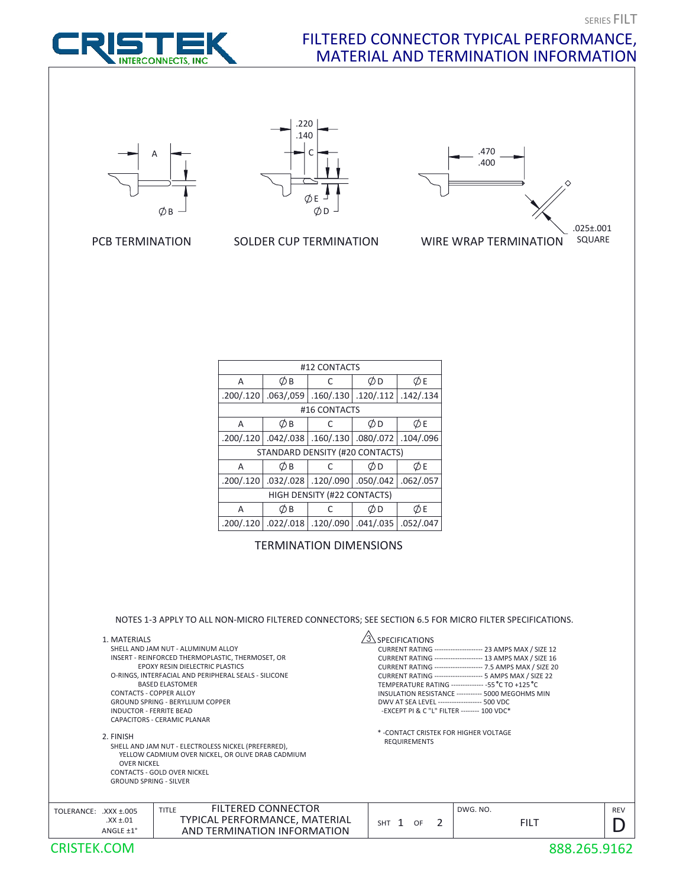## FILTERED CONNECTOR TYPICAL PERFORMANCE, MATERIAL AND TERMINATION INFORMATION







.220



PCB TERMINATION

SOLDER CUP TERMINATION

| #12 CONTACTS                    |           |           |           |           |  |  |  |
|---------------------------------|-----------|-----------|-----------|-----------|--|--|--|
| А                               | ØВ        | C         | ØD        | ØΕ        |  |  |  |
| .200/.120                       | .063/059  | .160/.130 | .120/.112 | .142/.134 |  |  |  |
| #16 CONTACTS                    |           |           |           |           |  |  |  |
| A                               | ØВ        | C         | ØD        | ØΕ        |  |  |  |
| .200/.120                       | .042/.038 | .160/.130 | .080/.072 | .104/.096 |  |  |  |
| STANDARD DENSITY (#20 CONTACTS) |           |           |           |           |  |  |  |
| A                               | Øв        | C         | ØD        | ØΕ        |  |  |  |
| .200/.120                       | .032/.028 | .120/.090 | .050/.042 | .062/.057 |  |  |  |
| HIGH DENSITY (#22 CONTACTS)     |           |           |           |           |  |  |  |
| A                               | の<br>B    | C         | ØD        | ØΕ        |  |  |  |
| .200/.120                       | .022/.018 | .120/.090 | .041/.035 | .052/.047 |  |  |  |

TERMINATION DIMENSIONS

NOTES 1-3 APPLY TO ALL NON-MICRO FILTERED CONNECTORS; SEE SECTION 6.5 FOR MICRO FILTER SPECIFICATIONS.

| 1. MATERIALS<br>SHELL AND JAM NUT - ALUMINUM ALLOY<br>INSERT - REINFORCED THERMOPLASTIC, THERMOSET, OR<br><b>EPOXY RESIN DIELECTRIC PLASTICS</b><br>O-RINGS, INTERFACIAL AND PERIPHERAL SEALS - SILICONE<br><b>BASED FLASTOMER</b><br><b>CONTACTS - COPPER ALLOY</b><br><b>GROUND SPRING - BERYLLIUM COPPER</b><br>INDUCTOR - FERRITE BEAD<br><b>CAPACITORS - CERAMIC PLANAR</b> |                                                                                                           | <b>SPECIFICATIONS</b><br>CURRENT RATING -------------------- 23 AMPS MAX / SIZE 12<br>CURRENT RATING -------------------- 13 AMPS MAX / SIZE 16<br>CURRENT RATING --------------------- 7.5 AMPS MAX / SIZE 20<br>CURRENT RATING -------------------- 5 AMPS MAX / SIZE 22<br>TEMPERATURE RATING ------------- -55 °C TO +125 °C<br>INSULATION RESISTANCE ----------- 5000 MEGOHMS MIN<br>DWV AT SEA LEVEL ------------------- 500 VDC<br>-EXCEPT PI & C "L" FILTER -------- 100 VDC* |                         |                  |  |
|----------------------------------------------------------------------------------------------------------------------------------------------------------------------------------------------------------------------------------------------------------------------------------------------------------------------------------------------------------------------------------|-----------------------------------------------------------------------------------------------------------|---------------------------------------------------------------------------------------------------------------------------------------------------------------------------------------------------------------------------------------------------------------------------------------------------------------------------------------------------------------------------------------------------------------------------------------------------------------------------------------|-------------------------|------------------|--|
| 2. FINISH<br>SHELL AND JAM NUT - ELECTROLESS NICKEL (PREFERRED),<br>YELLOW CADMIUM OVER NICKEL, OR OLIVE DRAB CADMIUM<br><b>OVER NICKEL</b><br>CONTACTS - GOLD OVER NICKEL<br><b>GROUND SPRING - SILVER</b>                                                                                                                                                                      |                                                                                                           | * - CONTACT CRISTEK FOR HIGHER VOLTAGE<br><b>REQUIREMENTS</b>                                                                                                                                                                                                                                                                                                                                                                                                                         |                         |                  |  |
| TOLERANCE:<br>$XXX + 005$<br>$XX \pm .01$<br>ANGLE ±1°                                                                                                                                                                                                                                                                                                                           | <b>FILTERED CONNECTOR</b><br><b>TITLE</b><br>TYPICAL PERFORMANCE, MATERIAL<br>AND TERMINATION INFORMATION | 2<br>$SHT$ 1<br>OF                                                                                                                                                                                                                                                                                                                                                                                                                                                                    | DWG. NO.<br><b>FILT</b> | <b>REV</b><br>IJ |  |
| CRISTEK.COM                                                                                                                                                                                                                                                                                                                                                                      |                                                                                                           |                                                                                                                                                                                                                                                                                                                                                                                                                                                                                       |                         | 888.265.9162     |  |